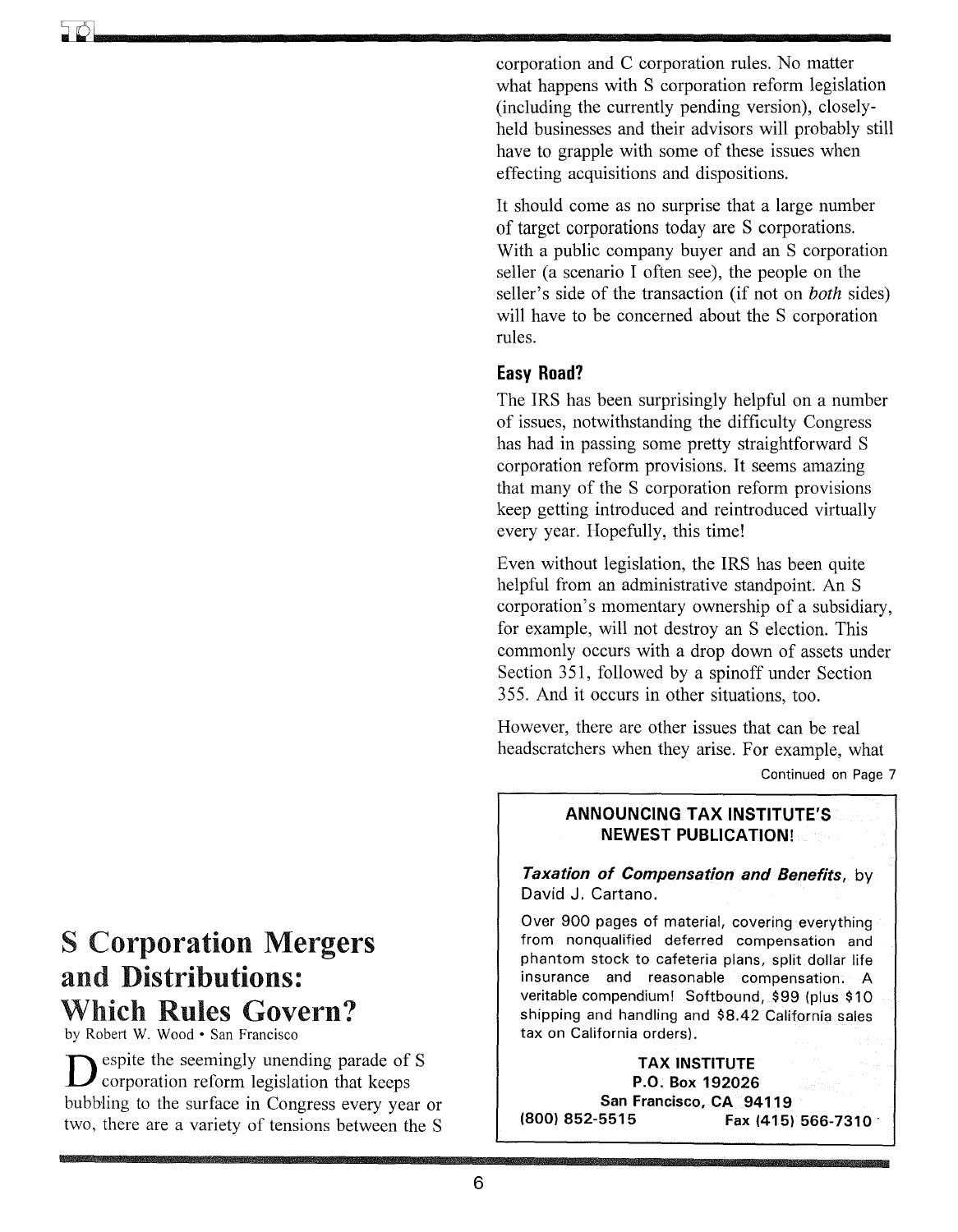corporation and C corporation rules. No matter what happens with S corporation reform legislation (including the currently pending version), closelyheld businesses and their advisors will probably still have to grapple with some of these issues when effecting acquisitions and dispositions.

It should come as no surprise that a large number of target corporations today are S corporations. With a public company buyer and an S corporation seller (a scenario I often see), the people on the seller's side of the transaction (if not on *both* sides) will have to be concerned about the S corporation rules.

#### **Easy Road?**

The IRS has been surprisingly helpful on a number of issues, notwithstanding the difficulty Congress has had in passing some pretty straightforward S corporation reform provisions. It seems amazing that many of the S corporation reform provisions keep getting introduced and reintroduced virtually every year. Hopefully, this time!

Even without legislation, the IRS has been quite helpful from an administrative standpoint. An S corporation's momentary ownership of a subsidiary, for example, will not destroy an S election. This commonly occurs with a drop down of assets under Section 351, followed by a spinoff under Section 355. And it occurs in other situations, too.

However, there are other issues that can be real headscratchers when they arise. For example, what Continued on Page 7

#### **ANNOUNCING TAX INSTITUTE'S NEWEST PUBLICATION!**

*Taxation of Compensation and Benefits,* by David J. Cartano.

Over 900 pages of material, covering everything from nonqualified deferred compensation and phantom stock to cafeteria plans, split dollar life insurance and reasonable compensation. A veritable compendium! Softbound, \$99 (plus \$10 shipping and handling and \$8.42 California sales tax on California orders).

**TAX INSTITUTE P.O. Box 192026**  San Francisco, CA 94119<br>**Fax (415)** 852-5515 **(800) 852-5515 Fax (415) 566-7310 .** 

## S Corporation Mergers and Distributions: Which Rules Govern?

by Robert W. Wood· San Francisco

Despite the seemingly unending parade of S<br>corporation reform legislation that keeps bubhling to the surface in Congress every year or two, there are a variety of tensions between the S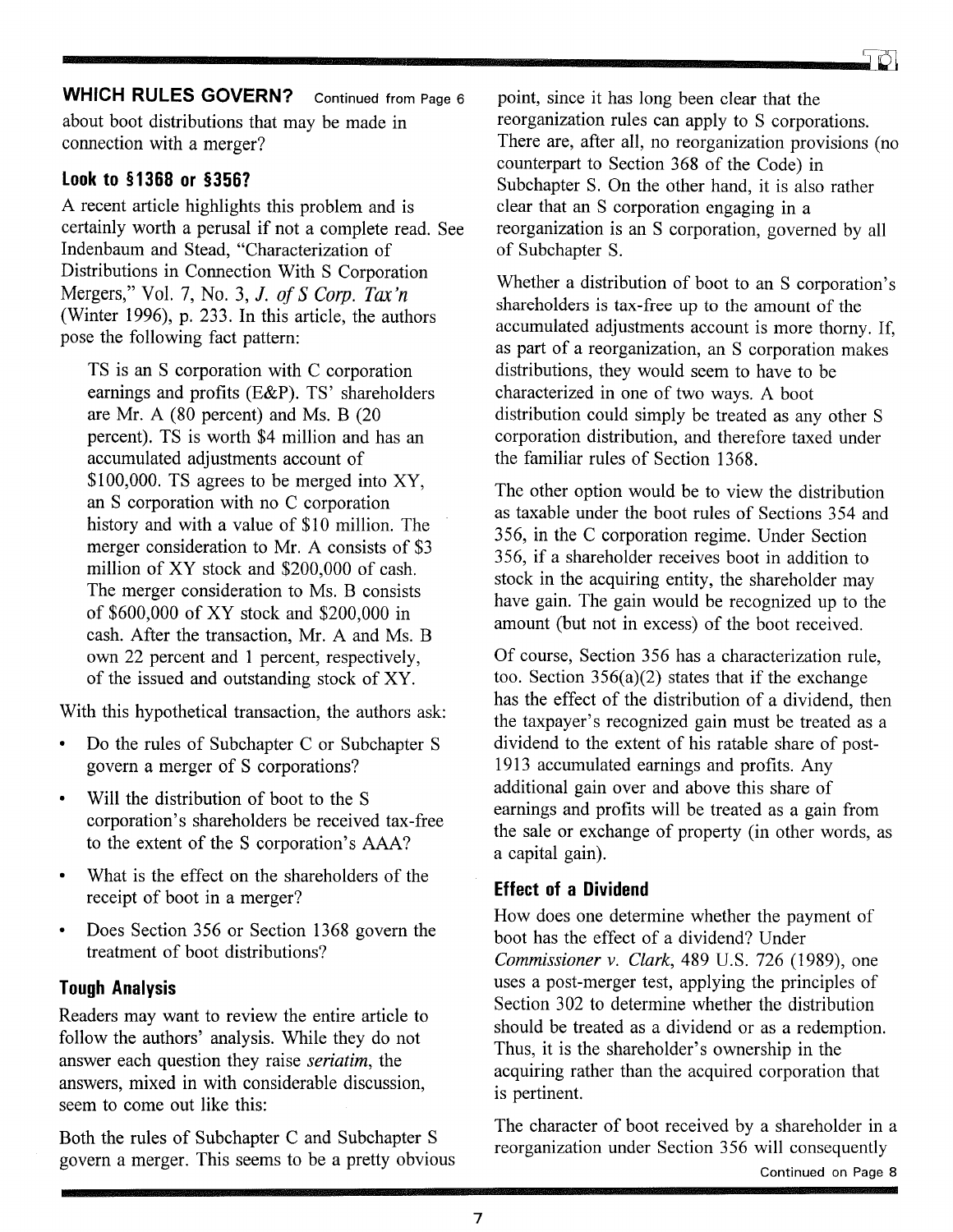# **WHICH RULES GOVERN?** Continued from Page 6 *z* point, since it has long been clear that the

about boot distributions that may be made in connection with a merger?

#### **Look to § 1368 or §356?**

A recent article highlights this problem and is certainly worth a perusal if not a complete read. See Indenbaum and Stead, "Characterization of Distributions in Connection With S Corporation Mergers," Vol. 7, No.3, *J. of SCarp. Tax'n*  (Winter 1996), p. 233. In this article, the authors pose the following fact pattern:

TS is an S corporation with C corporation earnings and profits (E&P). TS' shareholders are Mr. A (80 percent) and Ms. B (20 percent). TS is worth \$4 million and has an accumulated adjustments account of \$100,000. TS agrees to be merged into XY, an S corporation with no C corporation history and with a value of \$10 million. The merger consideration to Mr. A consists of \$3 million of XY stock and \$200,000 of cash. The merger consideration to Ms. B consists of \$600,000 of XY stock and \$200,000 in cash. After the transaction, Mr. A and Ms. B own 22 percent and 1 percent, respectively, of the issued and outstanding stock of XY.

With this hypothetical transaction, the authors ask:

- Do the rules of Subchapter C or Subchapter S govern a merger of S corporations?
- Will the distribution of boot to the S corporation's shareholders be received tax-free to the extent of the S corporation's AAA?
- What is the effect on the shareholders of the receipt of boot in a merger?
- Does Section 356 or Section 1368 govern the treatment of boot distributions?

#### **Tough Analysis**

Readers may want to review the entire article to follow the authors' analysis. While they do not answer each question they raise *seriatim,* the answers, mixed in with considerable discussion, seem to come out like this:

Both the rules of Subchapter C and Subchapter S govern a merger. This seems to be a pretty obvious reorganization rules can apply to S corporations. There are, after all, no reorganization provisions (no counterpart to Section 368 of the Code) in Subchapter S. On the other hand, it is also rather clear that an S corporation engaging in a reorganization is an S corporation, governed by all of Subchapter S.

Whether a distribution of boot to an S corporation's shareholders is tax-free up to the amount of the accumulated adjustments account is more thorny. If, as part of a reorganization, an S corporation makes distributions, they would seem to have to be characterized in one of two ways. A boot distribution could simply be treated as any other S corporation distribution, and therefore taxed under the familiar rules of Section 1368.

The other option would be to view the distribution as taxable under the boot rules of Sections 354 and 356, in the C corporation regime. Under Section 356, if a shareholder receives boot in addition to stock in the acquiring entity, the shareholder may have gain. The gain would be recognized up to the amount (but not in excess) of the boot received.

Of course, Section 356 has a characterization rule, too. Section  $356(a)(2)$  states that if the exchange has the effect of the distribution of a dividend, then the taxpayer's recognized gain must be treated as a dividend to the extent of his ratable share of post-1913 accumulated earnings and profits. Any additional gain over and above this share of earnings and profits will be treated as a gain from the sale or exchange of property (in other words, as a capital gain).

#### **Effect of a Dividend**

How does one determine whether the payment of boot has the effect of a dividend? Under *Commissioner* v. *Clark,* 489 U.S. 726 (1989), one uses a post-merger test, applying the principles of Section 302 to determine whether the distribution should be treated as a dividend or as a redemption. Thus, it is the shareholder's ownership in the acquiring rather than the acquired corporation that is pertinent.

The character of boot received by a shareholder in a reorganization under Section 356 will consequently